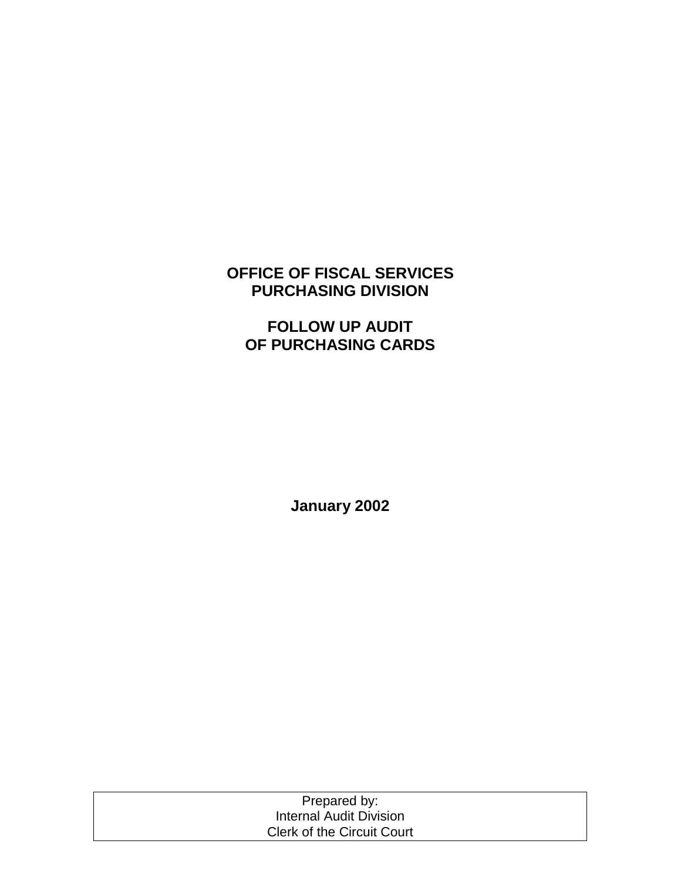# **OFFICE OF FISCAL SERVICES PURCHASING DIVISION**

# **FOLLOW UP AUDIT OF PURCHASING CARDS**

**January 2002** 

| Prepared by:                      |  |
|-----------------------------------|--|
| Internal Audit Division           |  |
| <b>Clerk of the Circuit Court</b> |  |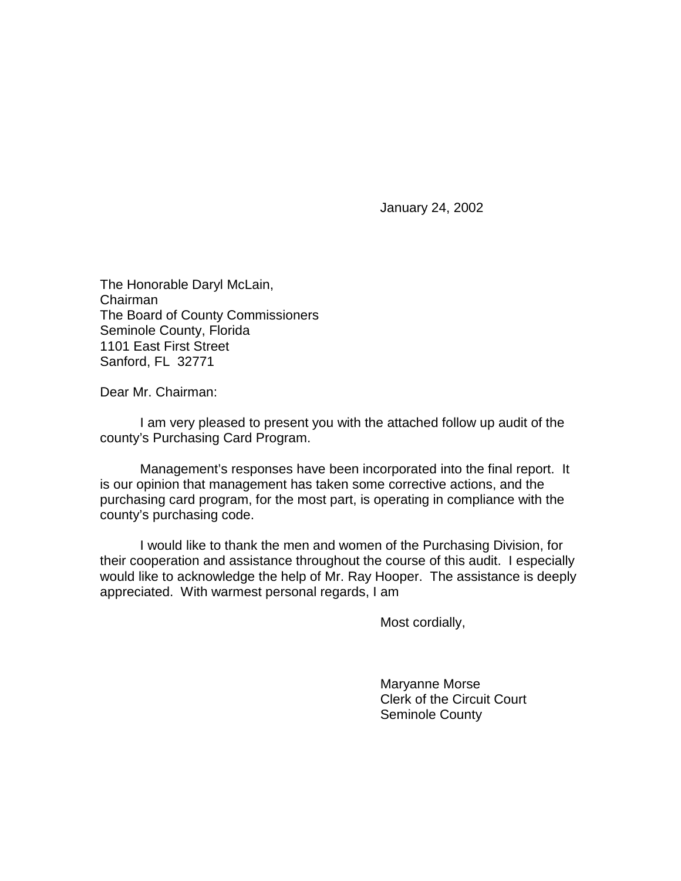January 24, 2002

The Honorable Daryl McLain, Chairman The Board of County Commissioners Seminole County, Florida 1101 East First Street Sanford, FL 32771

Dear Mr. Chairman:

 I am very pleased to present you with the attached follow up audit of the county's Purchasing Card Program.

 Management's responses have been incorporated into the final report. It is our opinion that management has taken some corrective actions, and the purchasing card program, for the most part, is operating in compliance with the county's purchasing code.

I would like to thank the men and women of the Purchasing Division, for their cooperation and assistance throughout the course of this audit. I especially would like to acknowledge the help of Mr. Ray Hooper. The assistance is deeply appreciated. With warmest personal regards, I am

Most cordially,

 Maryanne Morse Clerk of the Circuit Court Seminole County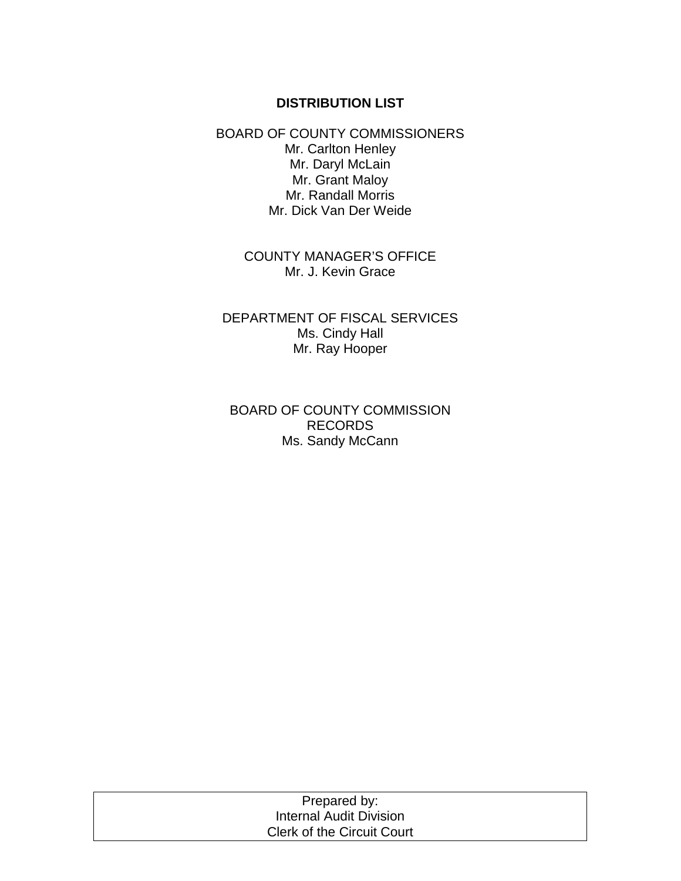## **DISTRIBUTION LIST**

BOARD OF COUNTY COMMISSIONERS Mr. Carlton Henley Mr. Daryl McLain Mr. Grant Maloy Mr. Randall Morris Mr. Dick Van Der Weide

> COUNTY MANAGER'S OFFICE Mr. J. Kevin Grace

DEPARTMENT OF FISCAL SERVICES Ms. Cindy Hall Mr. Ray Hooper

BOARD OF COUNTY COMMISSION RECORDS Ms. Sandy McCann

| Prepared by:                      |  |
|-----------------------------------|--|
| Internal Audit Division           |  |
| <b>Clerk of the Circuit Court</b> |  |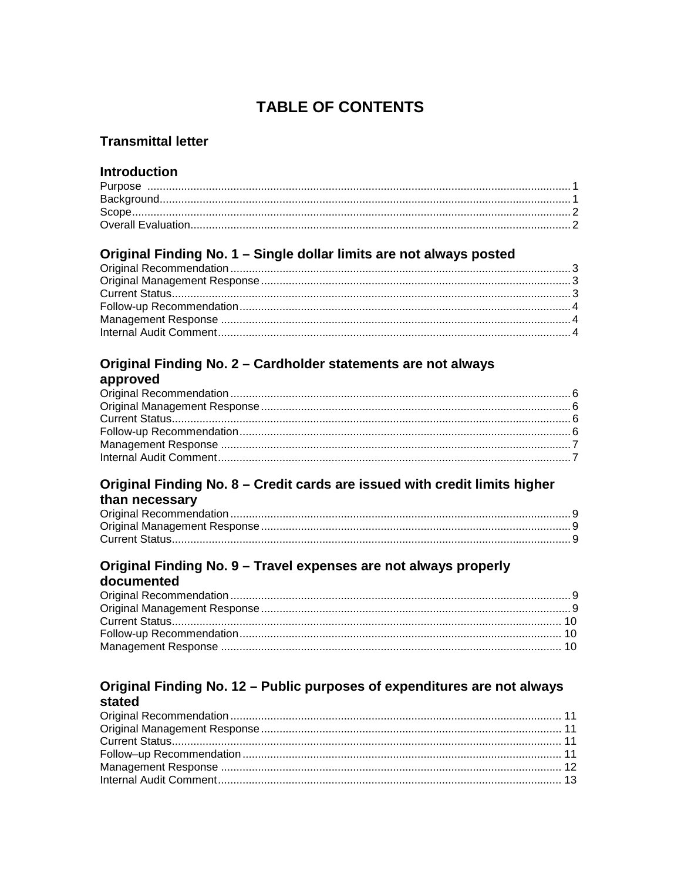# **TABLE OF CONTENTS**

## **Transmittal letter**

## **Introduction**

## Original Finding No. 1 - Single dollar limits are not always posted

# Original Finding No. 2 - Cardholder statements are not always

| approved |  |
|----------|--|
|----------|--|

### Original Finding No. 8 - Credit cards are issued with credit limits higher than necessary

### Original Finding No. 9 - Travel expenses are not always properly documented

#### Original Finding No. 12 - Public purposes of expenditures are not always stated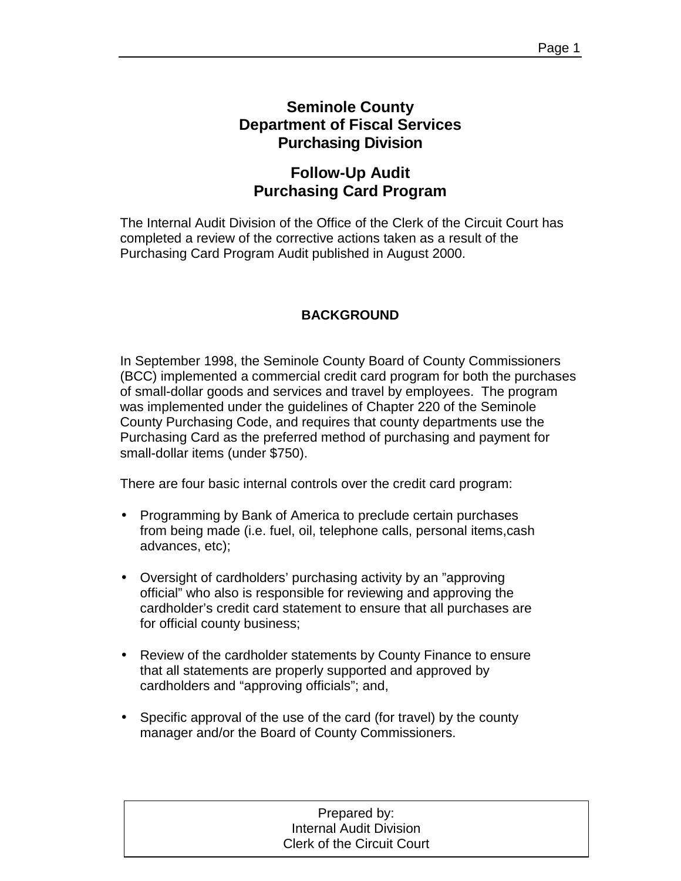## **Seminole County Department of Fiscal Services Purchasing Division**

# **Follow-Up Audit Purchasing Card Program**

The Internal Audit Division of the Office of the Clerk of the Circuit Court has completed a review of the corrective actions taken as a result of the Purchasing Card Program Audit published in August 2000.

## **BACKGROUND**

In September 1998, the Seminole County Board of County Commissioners (BCC) implemented a commercial credit card program for both the purchases of small-dollar goods and services and travel by employees. The program was implemented under the guidelines of Chapter 220 of the Seminole County Purchasing Code, and requires that county departments use the Purchasing Card as the preferred method of purchasing and payment for small-dollar items (under \$750).

There are four basic internal controls over the credit card program:

- Programming by Bank of America to preclude certain purchases from being made (i.e. fuel, oil, telephone calls, personal items,cash advances, etc);
- Oversight of cardholders' purchasing activity by an "approving official" who also is responsible for reviewing and approving the cardholder's credit card statement to ensure that all purchases are for official county business;
- Review of the cardholder statements by County Finance to ensure that all statements are properly supported and approved by cardholders and "approving officials"; and,
- Specific approval of the use of the card (for travel) by the county manager and/or the Board of County Commissioners.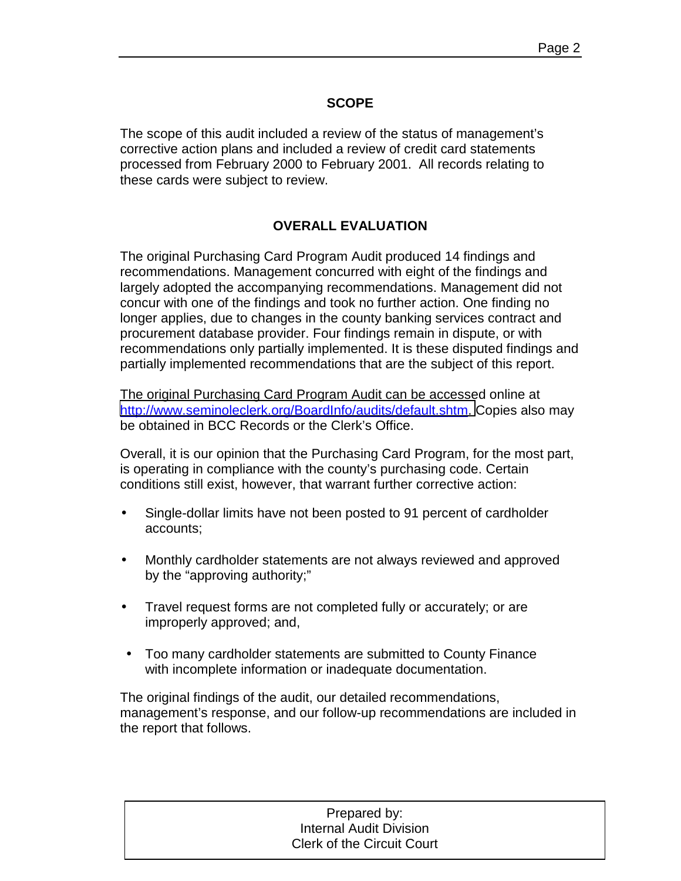## **SCOPE**

The scope of this audit included a review of the status of management's corrective action plans and included a review of credit card statements processed from February 2000 to February 2001. All records relating to these cards were subject to review.

## **OVERALL EVALUATION**

The original Purchasing Card Program Audit produced 14 findings and recommendations. Management concurred with eight of the findings and largely adopted the accompanying recommendations. Management did not concur with one of the findings and took no further action. One finding no longer applies, due to changes in the county banking services contract and procurement database provider. Four findings remain in dispute, or with recommendations only partially implemented. It is these disputed findings and partially implemented recommendations that are the subject of this report.

The original Purchasing Card Program Audit can be accessed online at [http://www.seminoleclerk.org/BoardInfo/audits/default.shtm.](http://www.seminoleclerk.org/BoardInfo/audits/default.shtm) Copies also may be obtained in BCC Records or the Clerk's Office.

Overall, it is our opinion that the Purchasing Card Program, for the most part, is operating in compliance with the county's purchasing code. Certain conditions still exist, however, that warrant further corrective action:

- Single-dollar limits have not been posted to 91 percent of cardholder accounts;
- Monthly cardholder statements are not always reviewed and approved by the "approving authority;"
- Travel request forms are not completed fully or accurately; or are improperly approved; and,
- Too many cardholder statements are submitted to County Finance with incomplete information or inadequate documentation.

The original findings of the audit, our detailed recommendations, management's response, and our follow-up recommendations are included in the report that follows.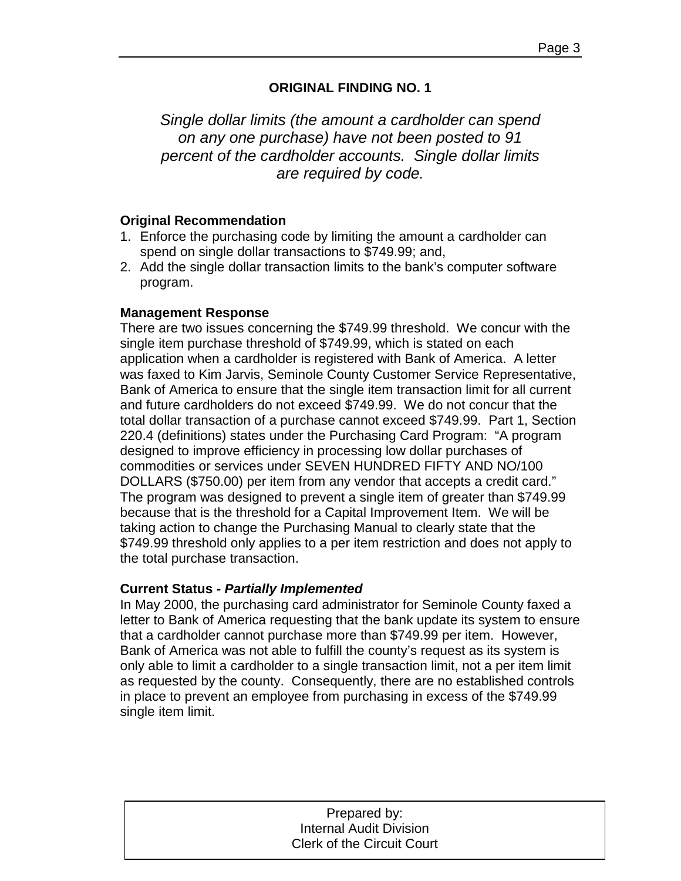## **ORIGINAL FINDING NO. 1**

*Single dollar limits (the amount a cardholder can spend on any one purchase) have not been posted to 91 percent of the cardholder accounts. Single dollar limits are required by code.* 

## **Original Recommendation**

- 1. Enforce the purchasing code by limiting the amount a cardholder can spend on single dollar transactions to \$749.99; and,
- 2. Add the single dollar transaction limits to the bank's computer software program.

### **Management Response**

There are two issues concerning the \$749.99 threshold. We concur with the single item purchase threshold of \$749.99, which is stated on each application when a cardholder is registered with Bank of America. A letter was faxed to Kim Jarvis, Seminole County Customer Service Representative, Bank of America to ensure that the single item transaction limit for all current and future cardholders do not exceed \$749.99. We do not concur that the total dollar transaction of a purchase cannot exceed \$749.99. Part 1, Section 220.4 (definitions) states under the Purchasing Card Program: "A program designed to improve efficiency in processing low dollar purchases of commodities or services under SEVEN HUNDRED FIFTY AND NO/100 DOLLARS (\$750.00) per item from any vendor that accepts a credit card." The program was designed to prevent a single item of greater than \$749.99 because that is the threshold for a Capital Improvement Item. We will be taking action to change the Purchasing Manual to clearly state that the \$749.99 threshold only applies to a per item restriction and does not apply to the total purchase transaction.

## **Current Status** *- Partially Implemented*

In May 2000, the purchasing card administrator for Seminole County faxed a letter to Bank of America requesting that the bank update its system to ensure that a cardholder cannot purchase more than \$749.99 per item. However, Bank of America was not able to fulfill the county's request as its system is only able to limit a cardholder to a single transaction limit, not a per item limit as requested by the county. Consequently, there are no established controls in place to prevent an employee from purchasing in excess of the \$749.99 single item limit.

| Prepared by:                      |
|-----------------------------------|
| <b>Internal Audit Division</b>    |
| <b>Clerk of the Circuit Court</b> |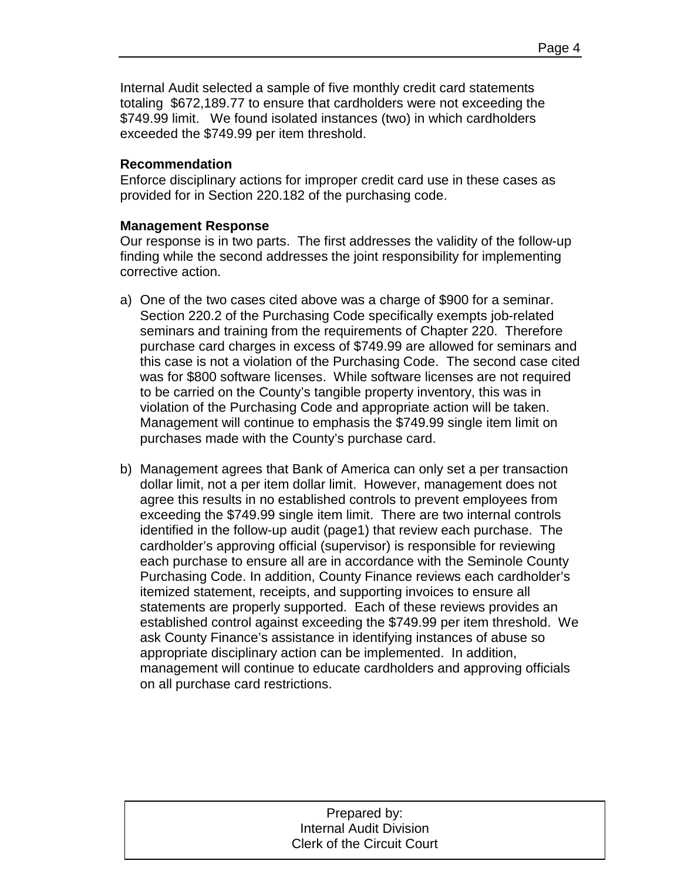Internal Audit selected a sample of five monthly credit card statements totaling \$672,189.77 to ensure that cardholders were not exceeding the \$749.99 limit. We found isolated instances (two) in which cardholders exceeded the \$749.99 per item threshold.

### **Recommendation**

Enforce disciplinary actions for improper credit card use in these cases as provided for in Section 220.182 of the purchasing code.

## **Management Response**

Our response is in two parts. The first addresses the validity of the follow-up finding while the second addresses the joint responsibility for implementing corrective action.

- a) One of the two cases cited above was a charge of \$900 for a seminar. Section 220.2 of the Purchasing Code specifically exempts job-related seminars and training from the requirements of Chapter 220. Therefore purchase card charges in excess of \$749.99 are allowed for seminars and this case is not a violation of the Purchasing Code. The second case cited was for \$800 software licenses. While software licenses are not required to be carried on the County's tangible property inventory, this was in violation of the Purchasing Code and appropriate action will be taken. Management will continue to emphasis the \$749.99 single item limit on purchases made with the County's purchase card.
- b) Management agrees that Bank of America can only set a per transaction dollar limit, not a per item dollar limit. However, management does not agree this results in no established controls to prevent employees from exceeding the \$749.99 single item limit. There are two internal controls identified in the follow-up audit (page1) that review each purchase. The cardholder's approving official (supervisor) is responsible for reviewing each purchase to ensure all are in accordance with the Seminole County Purchasing Code. In addition, County Finance reviews each cardholder's itemized statement, receipts, and supporting invoices to ensure all statements are properly supported. Each of these reviews provides an established control against exceeding the \$749.99 per item threshold. We ask County Finance's assistance in identifying instances of abuse so appropriate disciplinary action can be implemented. In addition, management will continue to educate cardholders and approving officials on all purchase card restrictions.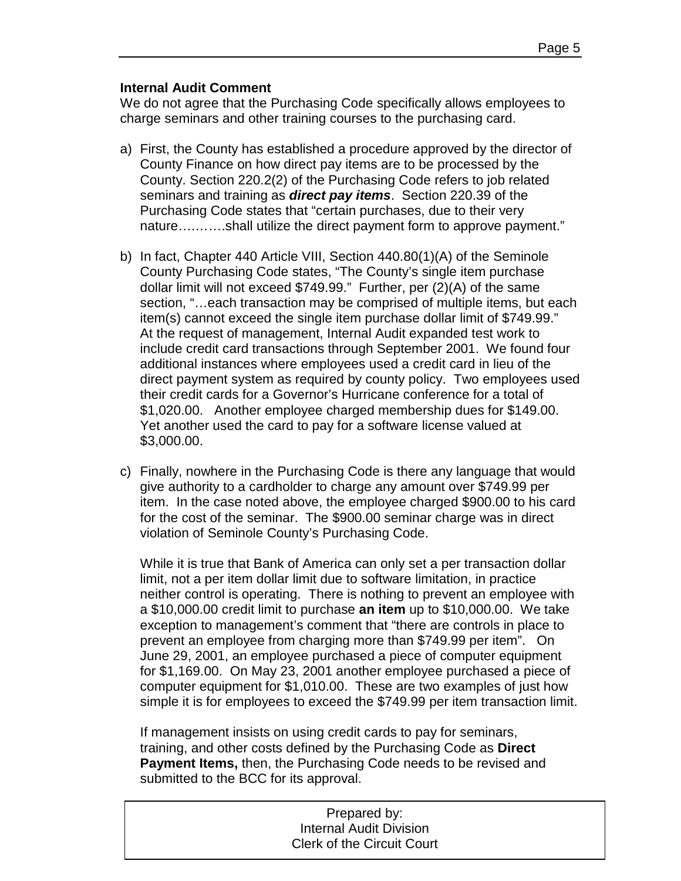## **Internal Audit Comment**

We do not agree that the Purchasing Code specifically allows employees to charge seminars and other training courses to the purchasing card.

- a) First, the County has established a procedure approved by the director of County Finance on how direct pay items are to be processed by the County. Section 220.2(2) of the Purchasing Code refers to job related seminars and training as *direct pay items*. Section 220.39 of the Purchasing Code states that "certain purchases, due to their very nature….…….shall utilize the direct payment form to approve payment."
- b) In fact, Chapter 440 Article VIII, Section 440.80(1)(A) of the Seminole County Purchasing Code states, "The County's single item purchase dollar limit will not exceed \$749.99." Further, per (2)(A) of the same section, "…each transaction may be comprised of multiple items, but each item(s) cannot exceed the single item purchase dollar limit of \$749.99." At the request of management, Internal Audit expanded test work to include credit card transactions through September 2001. We found four additional instances where employees used a credit card in lieu of the direct payment system as required by county policy. Two employees used their credit cards for a Governor's Hurricane conference for a total of \$1,020.00. Another employee charged membership dues for \$149.00. Yet another used the card to pay for a software license valued at \$3,000.00.
- c) Finally, nowhere in the Purchasing Code is there any language that would give authority to a cardholder to charge any amount over \$749.99 per item. In the case noted above, the employee charged \$900.00 to his card for the cost of the seminar. The \$900.00 seminar charge was in direct violation of Seminole County's Purchasing Code.

While it is true that Bank of America can only set a per transaction dollar limit, not a per item dollar limit due to software limitation, in practice neither control is operating. There is nothing to prevent an employee with a \$10,000.00 credit limit to purchase **an item** up to \$10,000.00. We take exception to management's comment that "there are controls in place to prevent an employee from charging more than \$749.99 per item". On June 29, 2001, an employee purchased a piece of computer equipment for \$1,169.00. On May 23, 2001 another employee purchased a piece of computer equipment for \$1,010.00. These are two examples of just how simple it is for employees to exceed the \$749.99 per item transaction limit.

If management insists on using credit cards to pay for seminars, training, and other costs defined by the Purchasing Code as **Direct Payment Items,** then, the Purchasing Code needs to be revised and submitted to the BCC for its approval.

| Prepared by:                      |  |
|-----------------------------------|--|
| <b>Internal Audit Division</b>    |  |
| <b>Clerk of the Circuit Court</b> |  |
|                                   |  |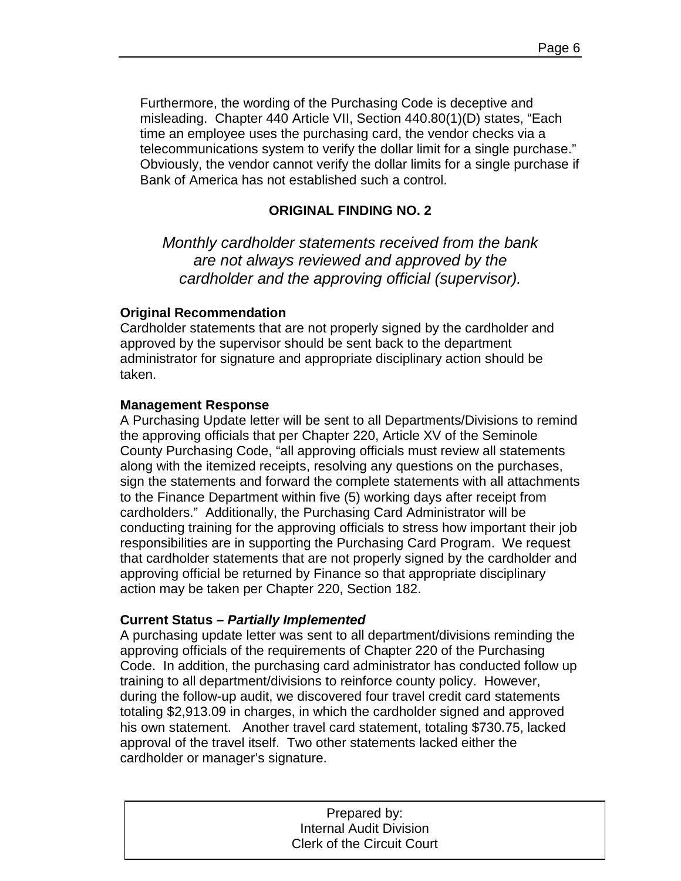Furthermore, the wording of the Purchasing Code is deceptive and misleading. Chapter 440 Article VII, Section 440.80(1)(D) states, "Each time an employee uses the purchasing card, the vendor checks via a telecommunications system to verify the dollar limit for a single purchase." Obviously, the vendor cannot verify the dollar limits for a single purchase if Bank of America has not established such a control.

### **ORIGINAL FINDING NO. 2**

*Monthly cardholder statements received from the bank are not always reviewed and approved by the cardholder and the approving official (supervisor).* 

#### **Original Recommendation**

Cardholder statements that are not properly signed by the cardholder and approved by the supervisor should be sent back to the department administrator for signature and appropriate disciplinary action should be taken.

#### **Management Response**

A Purchasing Update letter will be sent to all Departments/Divisions to remind the approving officials that per Chapter 220, Article XV of the Seminole County Purchasing Code, "all approving officials must review all statements along with the itemized receipts, resolving any questions on the purchases, sign the statements and forward the complete statements with all attachments to the Finance Department within five (5) working days after receipt from cardholders." Additionally, the Purchasing Card Administrator will be conducting training for the approving officials to stress how important their job responsibilities are in supporting the Purchasing Card Program. We request that cardholder statements that are not properly signed by the cardholder and approving official be returned by Finance so that appropriate disciplinary action may be taken per Chapter 220, Section 182.

#### **Current Status** *– Partially Implemented*

A purchasing update letter was sent to all department/divisions reminding the approving officials of the requirements of Chapter 220 of the Purchasing Code. In addition, the purchasing card administrator has conducted follow up training to all department/divisions to reinforce county policy. However, during the follow-up audit, we discovered four travel credit card statements totaling \$2,913.09 in charges, in which the cardholder signed and approved his own statement. Another travel card statement, totaling \$730.75, lacked approval of the travel itself. Two other statements lacked either the cardholder or manager's signature.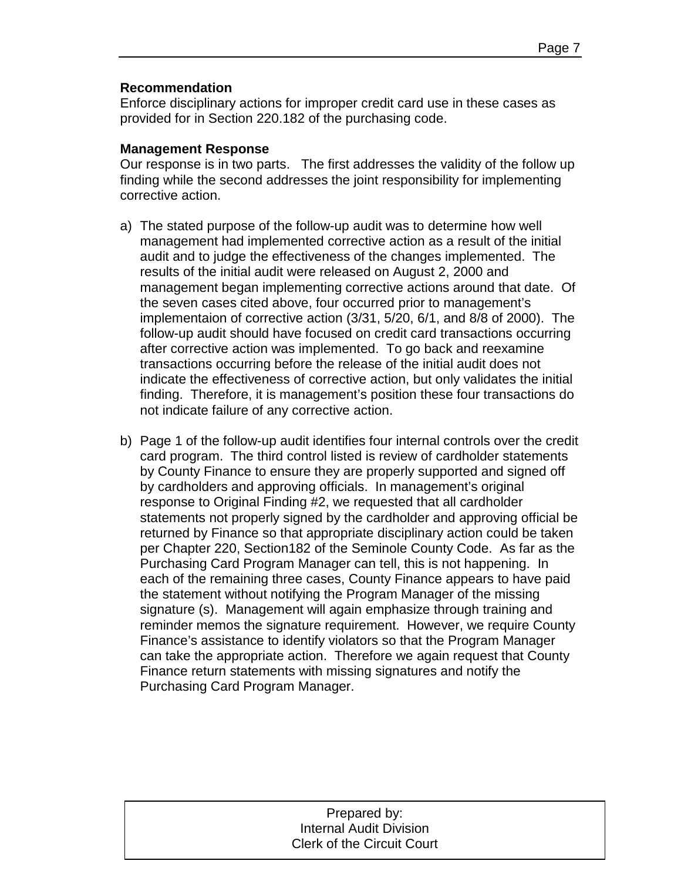## **Recommendation**

Enforce disciplinary actions for improper credit card use in these cases as provided for in Section 220.182 of the purchasing code.

## **Management Response**

Our response is in two parts. The first addresses the validity of the follow up finding while the second addresses the joint responsibility for implementing corrective action.

- a) The stated purpose of the follow-up audit was to determine how well management had implemented corrective action as a result of the initial audit and to judge the effectiveness of the changes implemented. The results of the initial audit were released on August 2, 2000 and management began implementing corrective actions around that date. Of the seven cases cited above, four occurred prior to management's implementaion of corrective action (3/31, 5/20, 6/1, and 8/8 of 2000). The follow-up audit should have focused on credit card transactions occurring after corrective action was implemented. To go back and reexamine transactions occurring before the release of the initial audit does not indicate the effectiveness of corrective action, but only validates the initial finding. Therefore, it is management's position these four transactions do not indicate failure of any corrective action.
- b) Page 1 of the follow-up audit identifies four internal controls over the credit card program. The third control listed is review of cardholder statements by County Finance to ensure they are properly supported and signed off by cardholders and approving officials. In management's original response to Original Finding #2, we requested that all cardholder statements not properly signed by the cardholder and approving official be returned by Finance so that appropriate disciplinary action could be taken per Chapter 220, Section182 of the Seminole County Code. As far as the Purchasing Card Program Manager can tell, this is not happening. In each of the remaining three cases, County Finance appears to have paid the statement without notifying the Program Manager of the missing signature (s). Management will again emphasize through training and reminder memos the signature requirement. However, we require County Finance's assistance to identify violators so that the Program Manager can take the appropriate action. Therefore we again request that County Finance return statements with missing signatures and notify the Purchasing Card Program Manager.

| Prepared by:                      |
|-----------------------------------|
| <b>Internal Audit Division</b>    |
| <b>Clerk of the Circuit Court</b> |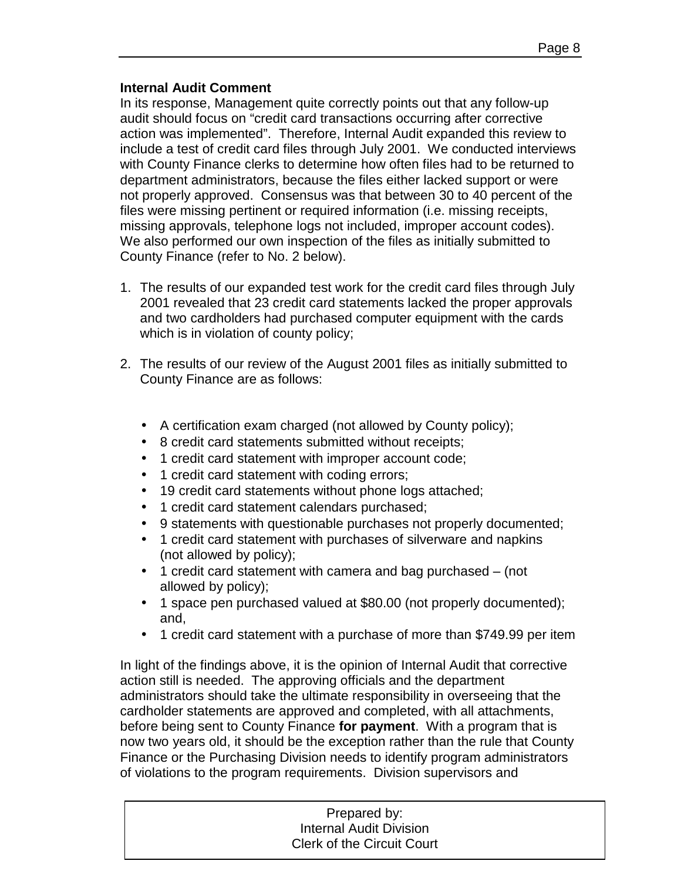## **Internal Audit Comment**

In its response, Management quite correctly points out that any follow-up audit should focus on "credit card transactions occurring after corrective action was implemented". Therefore, Internal Audit expanded this review to include a test of credit card files through July 2001. We conducted interviews with County Finance clerks to determine how often files had to be returned to department administrators, because the files either lacked support or were not properly approved. Consensus was that between 30 to 40 percent of the files were missing pertinent or required information (i.e. missing receipts, missing approvals, telephone logs not included, improper account codes). We also performed our own inspection of the files as initially submitted to County Finance (refer to No. 2 below).

- 1. The results of our expanded test work for the credit card files through July 2001 revealed that 23 credit card statements lacked the proper approvals and two cardholders had purchased computer equipment with the cards which is in violation of county policy;
- 2. The results of our review of the August 2001 files as initially submitted to County Finance are as follows:
	- A certification exam charged (not allowed by County policy);
	- 8 credit card statements submitted without receipts;
	- 1 credit card statement with improper account code;
	- 1 credit card statement with coding errors;
	- 19 credit card statements without phone logs attached;
	- 1 credit card statement calendars purchased;
	- 9 statements with questionable purchases not properly documented;
	- 1 credit card statement with purchases of silverware and napkins (not allowed by policy);
	- 1 credit card statement with camera and bag purchased (not allowed by policy);
	- 1 space pen purchased valued at \$80.00 (not properly documented); and,
	- 1 credit card statement with a purchase of more than \$749.99 per item

In light of the findings above, it is the opinion of Internal Audit that corrective action still is needed. The approving officials and the department administrators should take the ultimate responsibility in overseeing that the cardholder statements are approved and completed, with all attachments, before being sent to County Finance **for payment**. With a program that is now two years old, it should be the exception rather than the rule that County Finance or the Purchasing Division needs to identify program administrators of violations to the program requirements. Division supervisors and

| Prepared by:                      |  |
|-----------------------------------|--|
| <b>Internal Audit Division</b>    |  |
| <b>Clerk of the Circuit Court</b> |  |
|                                   |  |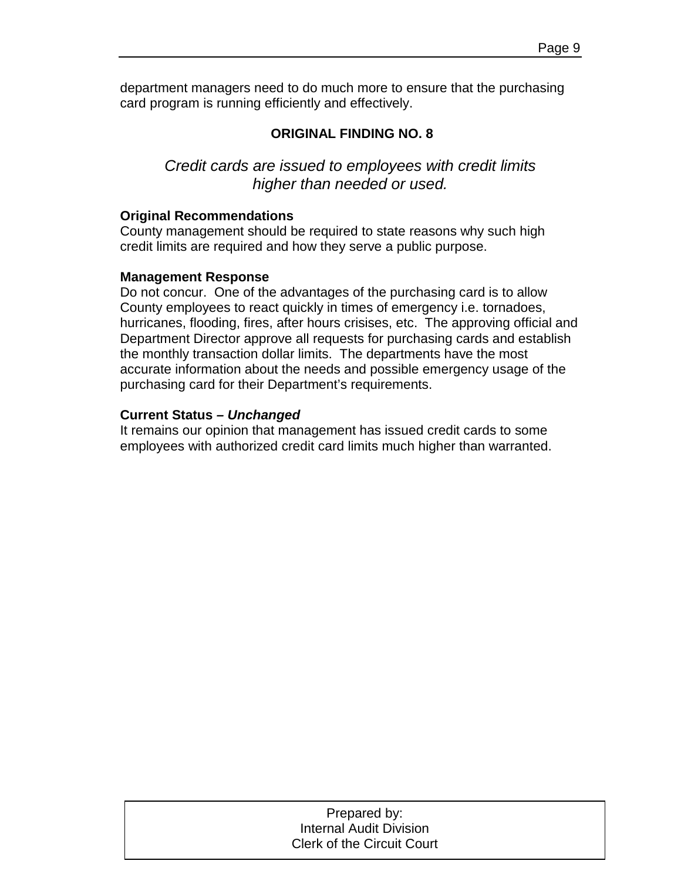department managers need to do much more to ensure that the purchasing card program is running efficiently and effectively.

## **ORIGINAL FINDING NO. 8**

*Credit cards are issued to employees with credit limits higher than needed or used.* 

### **Original Recommendations**

County management should be required to state reasons why such high credit limits are required and how they serve a public purpose.

#### **Management Response**

Do not concur. One of the advantages of the purchasing card is to allow County employees to react quickly in times of emergency i.e. tornadoes, hurricanes, flooding, fires, after hours crisises, etc. The approving official and Department Director approve all requests for purchasing cards and establish the monthly transaction dollar limits. The departments have the most accurate information about the needs and possible emergency usage of the purchasing card for their Department's requirements.

## **Current Status** *– Unchanged*

It remains our opinion that management has issued credit cards to some employees with authorized credit card limits much higher than warranted.

| Prepared by:                      |
|-----------------------------------|
| <b>Internal Audit Division</b>    |
| <b>Clerk of the Circuit Court</b> |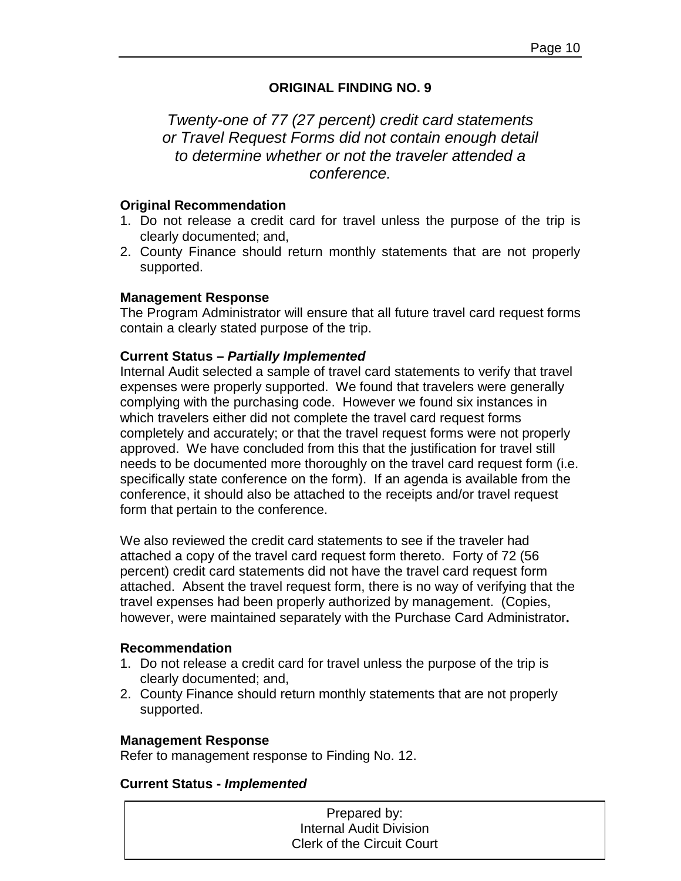## **ORIGINAL FINDING NO. 9**

## *Twenty-one of 77 (27 percent) credit card statements or Travel Request Forms did not contain enough detail to determine whether or not the traveler attended a conference.*

#### **Original Recommendation**

- 1. Do not release a credit card for travel unless the purpose of the trip is clearly documented; and,
- 2. County Finance should return monthly statements that are not properly supported.

### **Management Response**

The Program Administrator will ensure that all future travel card request forms contain a clearly stated purpose of the trip.

### **Current Status –** *Partially Implemented*

Internal Audit selected a sample of travel card statements to verify that travel expenses were properly supported. We found that travelers were generally complying with the purchasing code. However we found six instances in which travelers either did not complete the travel card request forms completely and accurately; or that the travel request forms were not properly approved. We have concluded from this that the justification for travel still needs to be documented more thoroughly on the travel card request form (i.e. specifically state conference on the form). If an agenda is available from the conference, it should also be attached to the receipts and/or travel request form that pertain to the conference.

We also reviewed the credit card statements to see if the traveler had attached a copy of the travel card request form thereto. Forty of 72 (56 percent) credit card statements did not have the travel card request form attached. Absent the travel request form, there is no way of verifying that the travel expenses had been properly authorized by management. (Copies, however, were maintained separately with the Purchase Card Administrator**.**

#### **Recommendation**

- 1. Do not release a credit card for travel unless the purpose of the trip is clearly documented; and,
- 2. County Finance should return monthly statements that are not properly supported.

#### **Management Response**

Refer to management response to Finding No. 12.

#### **Current Status -** *Implemented*

| Prepared by:                      |  |
|-----------------------------------|--|
| Internal Audit Division           |  |
| <b>Clerk of the Circuit Court</b> |  |
|                                   |  |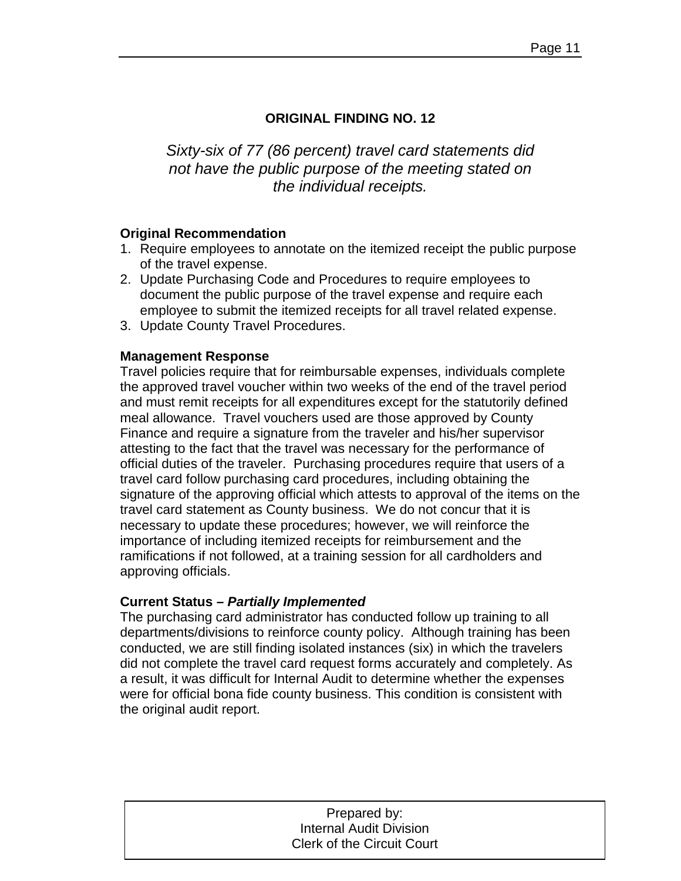## **ORIGINAL FINDING NO. 12**

*Sixty-six of 77 (86 percent) travel card statements did not have the public purpose of the meeting stated on the individual receipts.* 

## **Original Recommendation**

- 1. Require employees to annotate on the itemized receipt the public purpose of the travel expense.
- 2. Update Purchasing Code and Procedures to require employees to document the public purpose of the travel expense and require each employee to submit the itemized receipts for all travel related expense.
- 3. Update County Travel Procedures.

## **Management Response**

Travel policies require that for reimbursable expenses, individuals complete the approved travel voucher within two weeks of the end of the travel period and must remit receipts for all expenditures except for the statutorily defined meal allowance. Travel vouchers used are those approved by County Finance and require a signature from the traveler and his/her supervisor attesting to the fact that the travel was necessary for the performance of official duties of the traveler. Purchasing procedures require that users of a travel card follow purchasing card procedures, including obtaining the signature of the approving official which attests to approval of the items on the travel card statement as County business. We do not concur that it is necessary to update these procedures; however, we will reinforce the importance of including itemized receipts for reimbursement and the ramifications if not followed, at a training session for all cardholders and approving officials.

## **Current Status** *– Partially Implemented*

The purchasing card administrator has conducted follow up training to all departments/divisions to reinforce county policy. Although training has been conducted, we are still finding isolated instances (six) in which the travelers did not complete the travel card request forms accurately and completely. As a result, it was difficult for Internal Audit to determine whether the expenses were for official bona fide county business. This condition is consistent with the original audit report.

| Prepared by:                      |
|-----------------------------------|
| <b>Internal Audit Division</b>    |
| <b>Clerk of the Circuit Court</b> |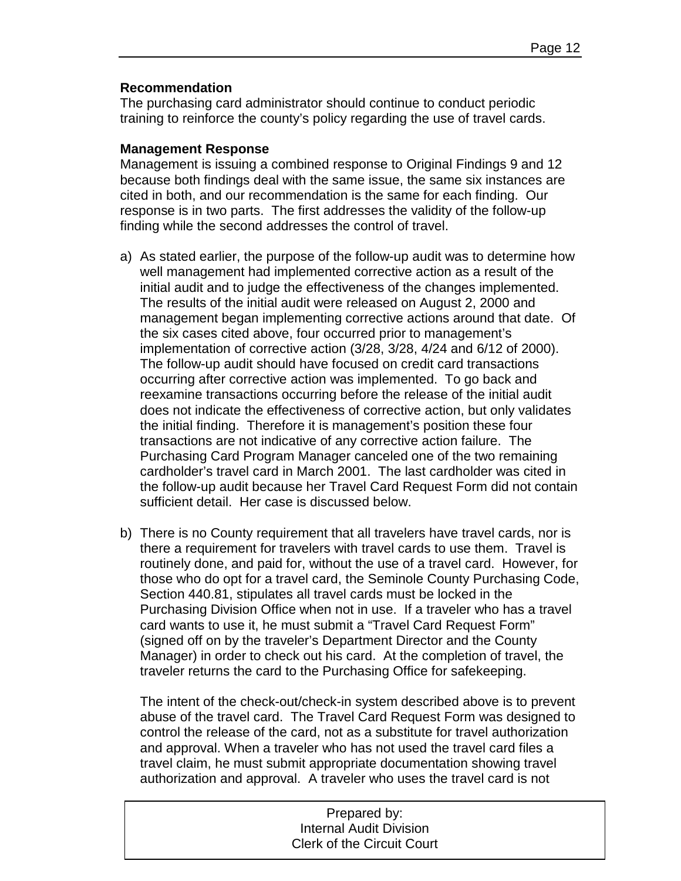### **Recommendation**

The purchasing card administrator should continue to conduct periodic training to reinforce the county's policy regarding the use of travel cards.

### **Management Response**

Management is issuing a combined response to Original Findings 9 and 12 because both findings deal with the same issue, the same six instances are cited in both, and our recommendation is the same for each finding. Our response is in two parts. The first addresses the validity of the follow-up finding while the second addresses the control of travel.

- a) As stated earlier, the purpose of the follow-up audit was to determine how well management had implemented corrective action as a result of the initial audit and to judge the effectiveness of the changes implemented. The results of the initial audit were released on August 2, 2000 and management began implementing corrective actions around that date. Of the six cases cited above, four occurred prior to management's implementation of corrective action (3/28, 3/28, 4/24 and 6/12 of 2000). The follow-up audit should have focused on credit card transactions occurring after corrective action was implemented. To go back and reexamine transactions occurring before the release of the initial audit does not indicate the effectiveness of corrective action, but only validates the initial finding. Therefore it is management's position these four transactions are not indicative of any corrective action failure. The Purchasing Card Program Manager canceled one of the two remaining cardholder's travel card in March 2001. The last cardholder was cited in the follow-up audit because her Travel Card Request Form did not contain sufficient detail. Her case is discussed below.
- b) There is no County requirement that all travelers have travel cards, nor is there a requirement for travelers with travel cards to use them. Travel is routinely done, and paid for, without the use of a travel card. However, for those who do opt for a travel card, the Seminole County Purchasing Code, Section 440.81, stipulates all travel cards must be locked in the Purchasing Division Office when not in use. If a traveler who has a travel card wants to use it, he must submit a "Travel Card Request Form" (signed off on by the traveler's Department Director and the County Manager) in order to check out his card. At the completion of travel, the traveler returns the card to the Purchasing Office for safekeeping.

The intent of the check-out/check-in system described above is to prevent abuse of the travel card. The Travel Card Request Form was designed to control the release of the card, not as a substitute for travel authorization and approval. When a traveler who has not used the travel card files a travel claim, he must submit appropriate documentation showing travel authorization and approval. A traveler who uses the travel card is not

| Prepared by:                      |  |
|-----------------------------------|--|
| <b>Internal Audit Division</b>    |  |
| <b>Clerk of the Circuit Court</b> |  |
|                                   |  |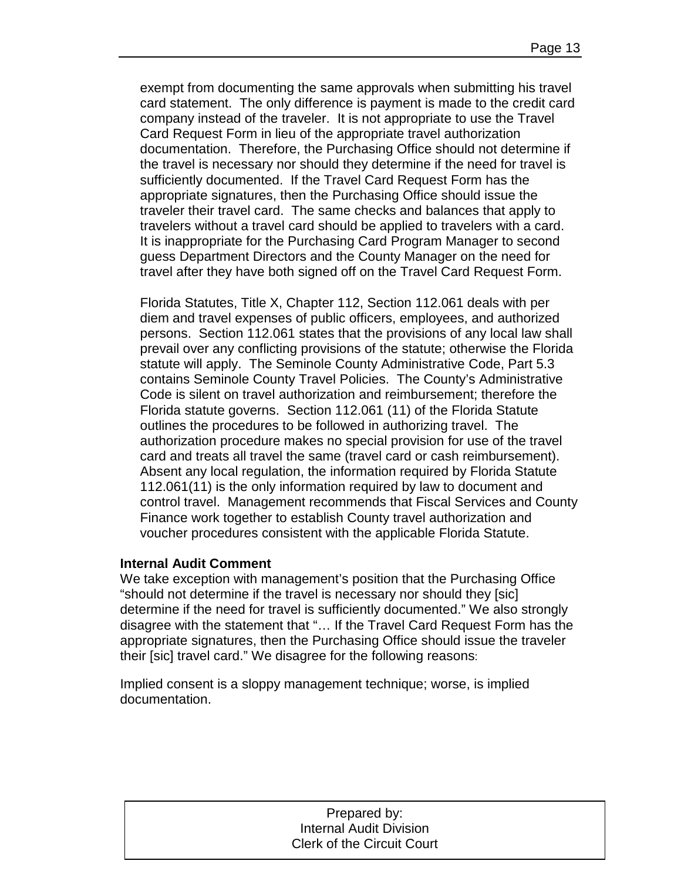exempt from documenting the same approvals when submitting his travel card statement. The only difference is payment is made to the credit card company instead of the traveler. It is not appropriate to use the Travel Card Request Form in lieu of the appropriate travel authorization documentation. Therefore, the Purchasing Office should not determine if the travel is necessary nor should they determine if the need for travel is sufficiently documented. If the Travel Card Request Form has the appropriate signatures, then the Purchasing Office should issue the traveler their travel card. The same checks and balances that apply to travelers without a travel card should be applied to travelers with a card. It is inappropriate for the Purchasing Card Program Manager to second guess Department Directors and the County Manager on the need for travel after they have both signed off on the Travel Card Request Form.

Florida Statutes, Title X, Chapter 112, Section 112.061 deals with per diem and travel expenses of public officers, employees, and authorized persons. Section 112.061 states that the provisions of any local law shall prevail over any conflicting provisions of the statute; otherwise the Florida statute will apply. The Seminole County Administrative Code, Part 5.3 contains Seminole County Travel Policies. The County's Administrative Code is silent on travel authorization and reimbursement; therefore the Florida statute governs. Section 112.061 (11) of the Florida Statute outlines the procedures to be followed in authorizing travel. The authorization procedure makes no special provision for use of the travel card and treats all travel the same (travel card or cash reimbursement). Absent any local regulation, the information required by Florida Statute 112.061(11) is the only information required by law to document and control travel. Management recommends that Fiscal Services and County Finance work together to establish County travel authorization and voucher procedures consistent with the applicable Florida Statute.

## **Internal Audit Comment**

We take exception with management's position that the Purchasing Office "should not determine if the travel is necessary nor should they [sic] determine if the need for travel is sufficiently documented." We also strongly disagree with the statement that "… If the Travel Card Request Form has the appropriate signatures, then the Purchasing Office should issue the traveler their [sic] travel card." We disagree for the following reasons:

Implied consent is a sloppy management technique; worse, is implied documentation.

| Prepared by:                      |
|-----------------------------------|
| <b>Internal Audit Division</b>    |
| <b>Clerk of the Circuit Court</b> |